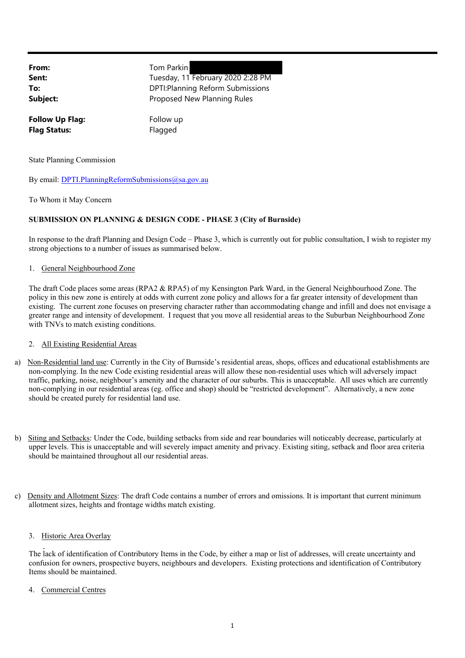**From:** Tom Parkin **Sent:** Tuesday, 11 February 2020 2:28 PM **To:** DPTI:Planning Reform Submissions **Subject:** Proposed New Planning Rules **Follow Up Flag:** Follow up **Flag Status:** Flagged

State Planning Commission

By email: DPTI.PlanningReformSubmissions@sa.gov.au

To Whom it May Concern

# **SUBMISSION ON PLANNING & DESIGN CODE - PHASE 3 (City of Burnside)**

In response to the draft Planning and Design Code – Phase 3, which is currently out for public consultation, I wish to register my strong objections to a number of issues as summarised below.

## 1. General Neighbourhood Zone

The draft Code places some areas (RPA2 & RPA5) of my Kensington Park Ward, in the General Neighbourhood Zone. The policy in this new zone is entirely at odds with current zone policy and allows for a far greater intensity of development than existing. The current zone focuses on preserving character rather than accommodating change and infill and does not envisage a greater range and intensity of development. I request that you move all residential areas to the Suburban Neighbourhood Zone with TNVs to match existing conditions.

## 2. All Existing Residential Areas

- a) Non-Residential land use: Currently in the City of Burnside's residential areas, shops, offices and educational establishments are non-complying. In the new Code existing residential areas will allow these non-residential uses which will adversely impact traffic, parking, noise, neighbour's amenity and the character of our suburbs. This is unacceptable. All uses which are currently non-complying in our residential areas (eg. office and shop) should be "restricted development". Alternatively, a new zone should be created purely for residential land use.
- b) Siting and Setbacks: Under the Code, building setbacks from side and rear boundaries will noticeably decrease, particularly at upper levels. This is unacceptable and will severely impact amenity and privacy. Existing siting, setback and floor area criteria should be maintained throughout all our residential areas.
- c) Density and Allotment Sizes: The draft Code contains a number of errors and omissions. It is important that current minimum allotment sizes, heights and frontage widths match existing.

# 3. Historic Area Overlay

The lack of identification of Contributory Items in the Code, by either a map or list of addresses, will create uncertainty and confusion for owners, prospective buyers, neighbours and developers. Existing protections and identification of Contributory Items should be maintained.

## Commercial Centres